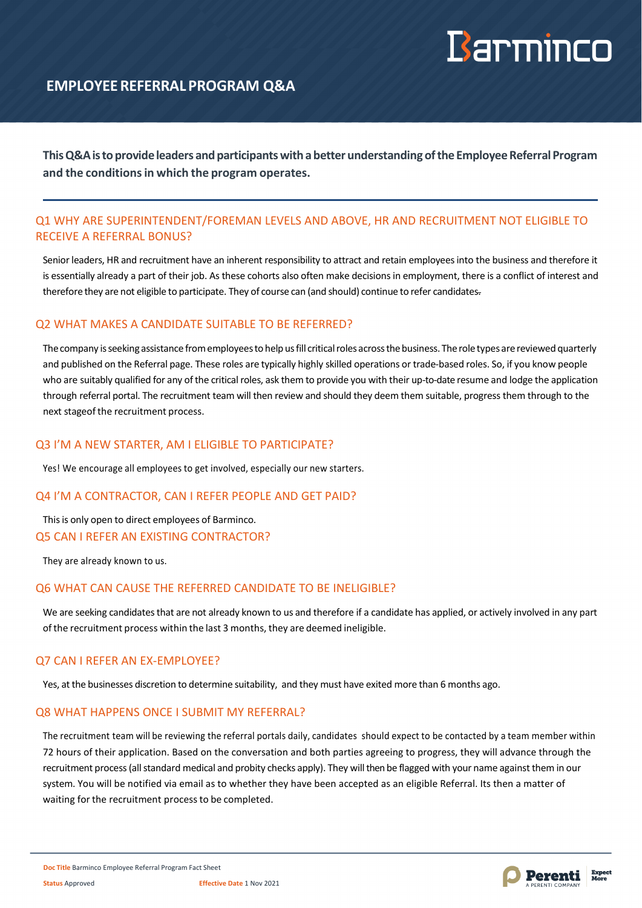# Barminco

# **EMPLOYEEREFERRAL PROGRAM Q&A**

**ThisQ&Aistoprovideleaders andparticipantswithabetter understandingofthe EmployeeReferral Program and the conditionsin which the program operates.**

## Q1 WHY ARE SUPERINTENDENT/FOREMAN LEVELS AND ABOVE, HR AND RECRUITMENT NOT ELIGIBLE TO RECEIVE A REFERRAL BONUS?

Senior leaders, HR and recruitment have an inherent responsibility to attract and retain employees into the business and therefore it is essentially already a part of their job. As these cohorts also often make decisions in employment, there is a conflict of interest and therefore they are not eligible to participate. They of course can (and should) continue to refer candidates.

## Q2 WHAT MAKES A CANDIDATE SUITABLE TO BE REFERRED?

The company is seeking assistance from employees to help us fill critical roles across the business. The role types are reviewed quarterly and published on the Referral page. These roles are typically highly skilled operations or trade-based roles. So, if you know people who are suitably qualified for any of the critical roles, ask them to provide you with their up-to-date resume and lodge the application through referral portal. The recruitment team will then review and should they deem them suitable, progress them through to the next stageof the recruitment process.

## Q3 I'M A NEW STARTER, AM I ELIGIBLE TO PARTICIPATE?

Yes! We encourage all employees to get involved, especially our new starters.

### Q4 I'M A CONTRACTOR, CAN I REFER PEOPLE AND GET PAID?

This is only open to direct employees of Barminco. Q5 CAN I REFER AN EXISTING CONTRACTOR?

They are already known to us.

## Q6 WHAT CAN CAUSE THE REFERRED CANDIDATE TO BE INELIGIBLE?

We are seeking candidates that are not already known to us and therefore if a candidate has applied, or actively involved in any part ofthe recruitment process within the last 3 months, they are deemed ineligible.

## Q7 CAN I REFER AN EX-EMPLOYEE?

Yes, at the businesses discretion to determine suitability, and they must have exited more than 6 months ago.

## Q8 WHAT HAPPENS ONCE I SUBMIT MY REFERRAL?

The recruitment team will be reviewing the referral portals daily, candidates should expect to be contacted by a team member within 72 hours of their application. Based on the conversation and both parties agreeing to progress, they will advance through the recruitment process (all standard medical and probity checks apply). They will then be flagged with your name against them in our system. You will be notified via email as to whether they have been accepted as an eligible Referral. Its then a matter of waiting for the recruitment processto be completed.